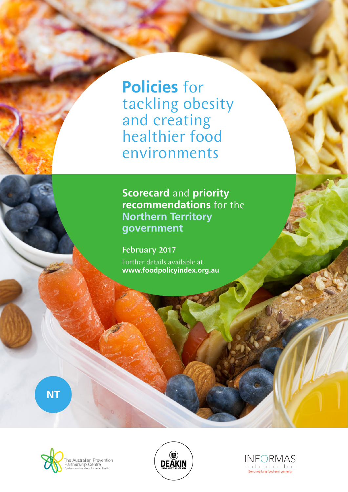**Policies** for tackling obesity and creating healthier food environments

**Scorecard** and **priority recommendations** for the **Northern Territory government**

February 2017 Further details available at **www.foodpolicyindex.org.au**

**NT**





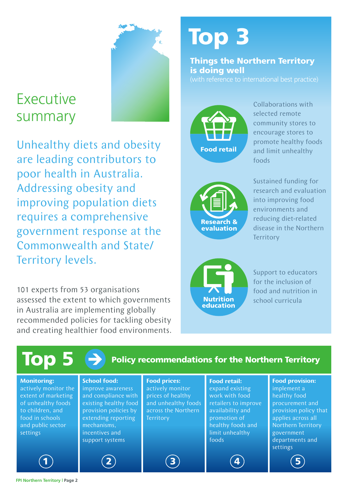## Executive summary

Unhealthy diets and obesity are leading contributors to poor health in Australia. Addressing obesity and improving population diets requires a comprehensive government response at the Commonwealth and State/ Territory levels.

101 experts from 53 organisations assessed the extent to which governments in Australia are implementing globally recommended policies for tackling obesity and creating healthier food environments.

# Top 3

Things the Northern Territory is doing well



Collaborations with selected remote community stores to encourage stores to promote healthy foods and limit unhealthy foods



Sustained funding for research and evaluation into improving food environments and reducing diet-related disease in the Northern **Territory** 



Support to educators for the inclusion of food and nutrition in school curricula



#### **FPI Northern Territory | Page 2**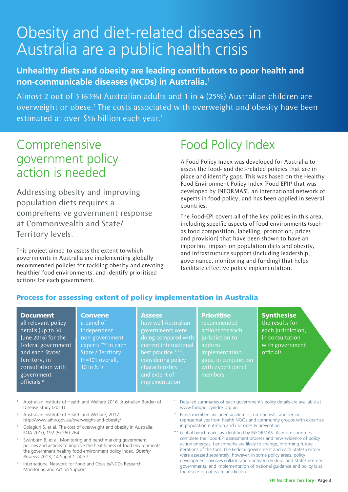## Obesity and diet-related diseases in Australia are a public health crisis

#### **Unhealthy diets and obesity are leading contributors to poor health and non-communicable diseases (NCDs) in Australia.1**

Almost 2 out of 3 (63%) Australian adults and 1 in 4 (25%) Australian children are overweight or obese.<sup>2</sup> The costs associated with overweight and obesity have been estimated at over \$56 billion each year.<sup>3</sup>

### Comprehensive government policy action is needed

Addressing obesity and improving population diets requires a comprehensive government response at Commonwealth and State/ Territory levels.

This project aimed to assess the extent to which governments in Australia are implementing globally recommended policies for tackling obesity and creating healthier food environments, and identify prioritised actions for each government.

> **Convene** a panel of independent

## Food Policy Index

A Food Policy Index was developed for Australia to assess the food- and diet-related policies that are in place and identify gaps. This was based on the Healthy Food Environment Policy Index (Food-EPI)<sup>4</sup> that was developed by INFORMAS<sup>5</sup>, an international network of experts in food policy, and has been applied in several countries.

The Food-EPI covers all of the key policies in this area, including specific aspects of food environments (such as food composition, labelling, promotion, prices and provision) that have been shown to have an important impact on population diets and obesity, and infrastructure support (including leadership, governance, monitoring and funding) that helps facilitate effective policy implementation.

#### Process for assessing extent of policy implementation in Australia

#### Document

all relevant policy details (up to 30 June 2016) for the Federal government and each State/ Territory, in consultation with government officials \*

#### **Assess**

non-government experts \*\* in each State / Territory (n=101 overall, how well Australian governments were doing compared with best practice \*\*\*, considering policy characteristics implementation

#### **Prioritise**

recommended actions for each address implementation gaps, in conjunction members

#### **Synthesise**

the results for each jurisdiction, in consultation with government officials

<sup>1</sup> Australian Institute of Health and Welfare 2016. Australian Burden of Disease Study (2011)

10 in NT)

- <sup>2</sup> Australian Institute of Health and Welfare; 2017: http://www.aihw.gov.au/overweight-and-obesity/
- <sup>3</sup> Colagiuri S, et al. The cost of overweight and obesity in Australia. MJA 2010; 192 (5):260-264
- Swinburn B, et al. Monitoring and benchmarking government policies and actions to improve the healthiness of food environments: the government healthy food environment policy index. *Obesity Reviews* 2013; 14 Suppl 1:24-37
- <sup>5</sup> International Network for Food and Obesity/NCDs Research, Monitoring and Action Support
- Detailed summaries of each government's policy details are available at www.foodpolicyindex.org.au
- Panel members included academics, nutritionists, and senior representatives from health NGOs and community groups with expertise in population nutrition and / or obesity prevention
- Global benchmarks as identified by INFORMAS. As more countries complete the Food-EPI assessment process and new evidence of policy action emerges, benchmarks are likely to change, informing future iterations of the tool. The Federal government and each State/Territory were assessed separately; however, in some policy areas, policy development involves collaboration between Federal and State/Territory governments, and implementation of national guidance and policy is at the discretion of each jurisdiction.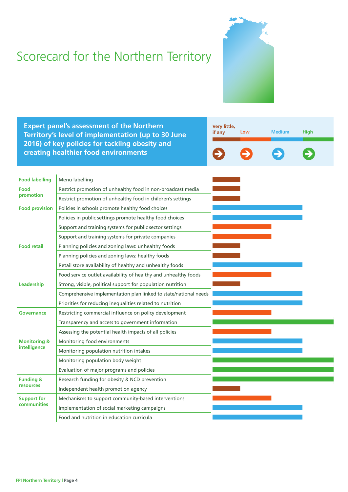## Scorecard for the Northern Territory



**Expert panel's assessment of the Northern Territory's level of implementation (up to 30 June 2016) of key policies for tackling obesity and creating healthier food environments**



| <b>Food labelling</b>                   | Menu labelling                                                   |  |  |
|-----------------------------------------|------------------------------------------------------------------|--|--|
| Food<br>promotion                       | Restrict promotion of unhealthy food in non-broadcast media      |  |  |
|                                         | Restrict promotion of unhealthy food in children's settings      |  |  |
| <b>Food provision</b>                   | Policies in schools promote healthy food choices                 |  |  |
|                                         | Policies in public settings promote healthy food choices         |  |  |
|                                         | Support and training systems for public sector settings          |  |  |
|                                         | Support and training systems for private companies               |  |  |
| <b>Food retail</b>                      | Planning policies and zoning laws: unhealthy foods               |  |  |
|                                         | Planning policies and zoning laws: healthy foods                 |  |  |
|                                         | Retail store availability of healthy and unhealthy foods         |  |  |
|                                         | Food service outlet availability of healthy and unhealthy foods  |  |  |
| Leadership                              | Strong, visible, political support for population nutrition      |  |  |
|                                         | Comprehensive implementation plan linked to state/national needs |  |  |
|                                         | Priorities for reducing inequalities related to nutrition        |  |  |
| Governance                              | Restricting commercial influence on policy development           |  |  |
|                                         | Transparency and access to government information                |  |  |
|                                         | Assessing the potential health impacts of all policies           |  |  |
| <b>Monitoring &amp;</b><br>intelligence | Monitoring food environments                                     |  |  |
|                                         | Monitoring population nutrition intakes                          |  |  |
|                                         | Monitoring population body weight                                |  |  |
|                                         | Evaluation of major programs and policies                        |  |  |
| <b>Funding &amp;</b><br>resources       | Research funding for obesity & NCD prevention                    |  |  |
|                                         | Independent health promotion agency                              |  |  |
| <b>Support for</b>                      | Mechanisms to support community-based interventions              |  |  |
| <b>communities</b>                      | Implementation of social marketing campaigns                     |  |  |
|                                         | Food and nutrition in education curricula                        |  |  |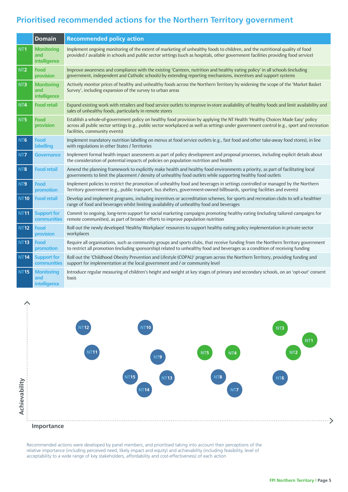#### **Prioritised recommended actions for the Northern Territory government**

|                 | <b>Domain</b>                            | <b>Recommended policy action</b>                                                                                                                                                                                                                                                                              |
|-----------------|------------------------------------------|---------------------------------------------------------------------------------------------------------------------------------------------------------------------------------------------------------------------------------------------------------------------------------------------------------------|
| NT <sub>1</sub> | <b>Monitoring</b><br>and<br>intelligence | Implement ongoing monitoring of the extent of marketing of unhealthy foods to children, and the nutritional quality of food<br>provided / available in schools and public sector settings (such as hospitals, other government facilities providing food service)                                             |
| NT <sub>2</sub> | Food<br>provision                        | Improve awareness and compliance with the existing 'Canteen, nutrition and healthy eating policy' in all schools (including<br>government, independent and Catholic schools) by extending reporting mechanisms, incentives and support systems                                                                |
| NT3             | <b>Monitoring</b><br>and<br>intelligence | Actively monitor prices of healthy and unhealthy foods across the Northern Territory by widening the scope of the 'Market Basket<br>Survey', including expansion of the survey to urban areas                                                                                                                 |
| NT4             | <b>Food retail</b>                       | Expand existing work with retailers and food service outlets to improve in-store availability of healthy foods and limit availability and<br>sales of unhealthy foods, particularly in remote stores                                                                                                          |
| NT5             | Food<br>provision                        | Establish a whole-of-government policy on healthy food provision by applying the NT Health 'Healthy Choices Made Easy' policy<br>across all public sector settings (e.g., public sector workplaces) as well as settings under government control (e.g., sport and recreation<br>facilities, community events) |
| NT <sub>6</sub> | <b>Food</b><br>labelling                 | Implement mandatory nutrition labelling on menus at food service outlets (e.g., fast food and other take-away food stores), in line<br>with regulations in other States / Territories                                                                                                                         |
| N <sub>T</sub>  | <b>Governance</b>                        | Implement formal health impact assessments as part of policy development and proposal processes, including explicit details about<br>the consideration of potential impacts of policies on population nutrition and health                                                                                    |
| NT8             | <b>Food retail</b>                       | Amend the planning framework to explicitly make health and healthy food environments a priority, as part of facilitating local<br>governments to limit the placement / density of unhealthy food outlets while supporting healthy food outlets                                                                |
| NT9             | <b>Food</b><br>promotion                 | Implement policies to restrict the promotion of unhealthy food and beverages in settings controlled or managed by the Northern<br>Territory government (e.g., public transport, bus shelters, government-owned billboards, sporting facilities and events)                                                    |
| <b>NT10</b>     | <b>Food retail</b>                       | Develop and implement programs, including incentives or accreditation schemes, for sports and recreation clubs to sell a healthier<br>range of food and beverages whilst limiting availability of unhealthy food and beverages                                                                                |
| <b>NT11</b>     | <b>Support for</b><br>communities        | Commit to ongoing, long-term support for social marketing campaigns promoting healthy eating (including tailored campaigns for<br>remote communities), as part of broader efforts to improve population nutrition                                                                                             |
| <b>NT12</b>     | Food<br>provision                        | Roll out the newly developed 'Healthy Workplace' resources to support healthy eating policy implementation in private sector<br>workplaces                                                                                                                                                                    |
| <b>NT13</b>     | Food<br>promotion                        | Require all organisations, such as community groups and sports clubs, that receive funding from the Northern Territory government<br>to restrict all promotion (including sponsorship) related to unhealthy food and beverages as a condition of receiving funding                                            |
| <b>NT14</b>     | <b>Support for</b><br>communities        | Roll out the 'Childhood Obesity Prevention and Lifestyle (COPAL)' program across the Northern Territory, providing funding and<br>support for implementation at the local government and / or community level                                                                                                 |
| <b>NT15</b>     | <b>Monitoring</b><br>and<br>intelligence | Introduce regular measuring of children's height and weight at key stages of primary and secondary schools, on an 'opt-out' consent<br>basis                                                                                                                                                                  |



Recommended actions were developed by panel members, and prioritised taking into account their perceptions of the relative importance (including perceived need, likely impact and equity) and achievability (including feasibility, level of acceptability to a wide range of key stakeholders, affordability and cost-effectiveness) of each action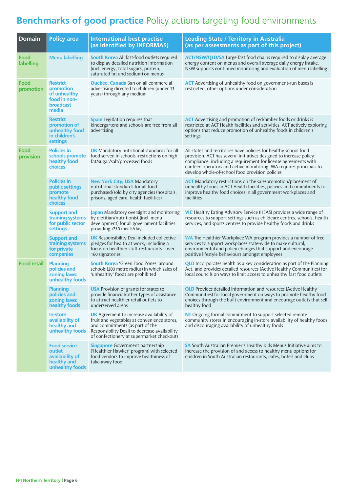### **Benchmarks of good practice** Policy actions targeting food environments

| <b>Domain</b>      | <b>Policy area</b>                                                                 | <b>International best practise</b><br>(as identified by INFORMAS)                                                                                                                                                               | <b>Leading State / Territory in Australia</b><br>(as per assessments as part of this project)                                                                                                                                                                                                                                      |
|--------------------|------------------------------------------------------------------------------------|---------------------------------------------------------------------------------------------------------------------------------------------------------------------------------------------------------------------------------|------------------------------------------------------------------------------------------------------------------------------------------------------------------------------------------------------------------------------------------------------------------------------------------------------------------------------------|
| Food<br>labelling  | <b>Menu labelling</b>                                                              | <b>South Korea</b> All fast-food outlets required<br>to display detailed nutrition information<br>(incl. energy, total sugars, protein,<br>saturated fat and sodium) on menus                                                   | <b>ACT/NSW/QLD/SA</b> Large fast food chains required to display average<br>energy content on menus and overall average daily energy intake.<br>NSW supports continued monitoring and evaluation of menu labelling                                                                                                                 |
| Food<br>promotion  | <b>Restrict</b><br>promotion<br>of unhealthy<br>food in non-<br>broadcast<br>media | <b>Quebec, Canada</b> Ban on all commercial<br>advertising directed to children (under 13<br>years) through any medium                                                                                                          | <b>ACT</b> Advertising of unhealthy food on government-run buses is<br>restricted, other options under consideration                                                                                                                                                                                                               |
|                    | <b>Restrict</b><br>promotion of<br>unhealthy food<br>in children's<br>settings     | <b>Spain</b> Legislation requires that<br>kindergartens and schools are free from all<br>advertising                                                                                                                            | <b>ACT</b> Advertising and promotion of red/amber foods or drinks is<br>restricted at ACT Health facilities and activities. ACT actively exploring<br>options that reduce promotion of unhealthy foods in children's<br>settings                                                                                                   |
| Food<br>provision  | <b>Policies in</b><br>schools promote<br>healthy food<br>choices                   | <b>UK</b> Mandatory nutritional standards for all<br>food served in schools -restrictions on high<br>fat/sugar/salt/processed foods                                                                                             | All states and territories have policies for healthy school food<br>provision. ACT has several initiatives designed to increase policy<br>compliance, including a requirement for license agreements with<br>canteen operators and active monitoring. WA requires principals to<br>develop whole-of-school food provision policies |
|                    | <b>Policies in</b><br>public settings<br>promote<br>healthy food<br><b>choices</b> | <b>New York City, USA Mandatory</b><br>nutritional standards for all food<br>purchased/sold by city agencies (hospitals,<br>prisons, aged care, health facilities)                                                              | <b>ACT</b> Mandatory restrictions on the sale/promotion/placement of<br>unhealthy foods in ACT Health facilities, policies and commitments to<br>improve healthy food choices in all government workplaces and<br>facilities                                                                                                       |
|                    | <b>Support and</b><br>training systems<br>for public sector<br>settings            | Japan Mandatory oversight and monitoring<br>by dietitian/nutritionist (incl. menu<br>development) for all government facilities<br>providing >250 meals/day                                                                     | <b>VIC</b> Healthy Eating Advisory Service (HEAS) provides a wide range of<br>resources to support settings such as childcare centres, schools, health<br>services, and sports centres to provide healthy foods and drinks                                                                                                         |
|                    | <b>Support and</b><br>training systems<br>for private<br>companies                 | <b>UK</b> Responsibility Deal included collective<br>pledges for health at work, including a<br>focus on healthier staff restaurants - over<br>160 signatories                                                                  | <b>WA</b> The Healthier Workplace WA program provides a number of free<br>services to support workplaces state-wide to make cultural,<br>environmental and policy changes that support and encourage<br>positive lifestyle behaviours amongst employees                                                                            |
| <b>Food retail</b> | <b>Planning</b><br>policies and<br>zoning laws:<br>unhealthy foods                 | <b>South Korea</b> 'Green Food Zones' around<br>schools (200 metre radius) in which sales of<br>'unhealthy' foods are prohibited                                                                                                | <b>QLD</b> Incorporates health as a key consideration as part of the Planning<br>Act, and provides detailed resources (Active Healthy Communities) for<br>local councils on ways to limit access to unhealthy fast food outlets                                                                                                    |
|                    | <b>Planning</b><br>policies and<br>zoning laws:<br>healthy foods                   | <b>USA</b> Provision of grants for states to<br>provide financial/other types of assistance<br>to attract healthier retail outlets to<br>underserved areas                                                                      | <b>QLD</b> Provides detailed information and resources (Active Healthy<br>Communities) for local government on ways to promote healthy food<br>choices through the built environment and encourage outlets that sell<br>healthy food                                                                                               |
|                    | <b>In-store</b><br>availability of<br>healthy and<br>unhealthy foods               | <b>UK</b> Agreement to increase availability of<br>fruit and vegetables at convenience stores,<br>and commitments (as part of the<br>Responsibility Deal) to decrease availability<br>of confectionery at supermarket checkouts | NT Ongoing formal commitment to support selected remote<br>community stores in encouraging in-store availability of healthy foods<br>and discouraging availability of unhealthy foods                                                                                                                                              |
|                    | <b>Food service</b><br>outlet<br>availability of<br>healthy and<br>unhealthy foods | <b>Singapore</b> Government partnership<br>('Healthier Hawker' program) with selected<br>food vendors to improve healthiness of<br>take-away food                                                                               | SA South Australian Premier's Healthy Kids Menus Initiative aims to<br>increase the provision of and access to healthy menu options for<br>children in South Australian restaurants, cafes, hotels and clubs                                                                                                                       |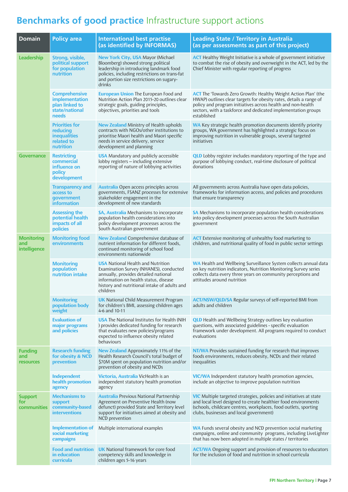### **Benchmarks of good practice** Infrastructure support actions

| <b>Domain</b>                             | <b>Policy area</b>                                                                  | <b>International best practise</b><br>(as identified by INFORMAS)                                                                                                                                                                | <b>Leading State / Territory in Australia</b><br>(as per assessments as part of this project)                                                                                                                                                                                              |
|-------------------------------------------|-------------------------------------------------------------------------------------|----------------------------------------------------------------------------------------------------------------------------------------------------------------------------------------------------------------------------------|--------------------------------------------------------------------------------------------------------------------------------------------------------------------------------------------------------------------------------------------------------------------------------------------|
| Leadership                                | Strong, visible,<br>political support<br>for population<br>nutrition                | <b>New York City, USA Mayor (Michael</b><br>Bloomberg) showed strong political<br>leadership in introducing landmark food<br>policies, including restrictions on trans-fat<br>and portion size restrictions on sugary-<br>drinks | <b>ACT</b> Healthy Weight Initiative is a whole of government initiative<br>to combat the rise of obesity and overweight in the ACT, led by the<br>Chief Minister with regular reporting of progress                                                                                       |
|                                           | <b>Comprehensive</b><br>implementation<br>plan linked to<br>state/national<br>needs | <b>European Union The European Food and</b><br>Nutrition Action Plan 2015-20 outlines clear<br>strategic goals, guiding principles,<br>objectives, priorities and tools                                                          | <b>ACT</b> The 'Towards Zero Growth: Healthy Weight Action Plan' (the<br>HWAP) outlines clear targets for obesity rates, details a range of<br>policy and program initiatives across health and non-health<br>sectors, with a taskforce and dedicated implementation groups<br>established |
|                                           | <b>Priorities for</b><br>reducing<br><b>inequalities</b><br>related to<br>nutrition | <b>New Zealand</b> Ministry of Health upholds<br>contracts with NGOs/other institutions to<br>prioritise Maori health and Maori specific<br>needs in service delivery, service<br>development and planning                       | <b>WA</b> Key strategic health promotion documents identify priority<br>groups, WA government has highlighted a strategic focus on<br>improving nutrition in vulnerable groups, several targeted<br>initiatives                                                                            |
| <b>Governance</b>                         | <b>Restricting</b><br>commercial<br>influence on<br>policy<br>development           | <b>USA</b> Mandatory and publicly accessible<br>lobby registers - including extensive<br>reporting of nature of lobbying activities                                                                                              | <b>QLD</b> Lobby register includes mandatory reporting of the type and<br>purpose of lobbying conduct, real-time disclosure of political<br>donations                                                                                                                                      |
|                                           | <b>Transparency and</b><br>access to<br>government<br><i>information</i>            | <b>Australia</b> Open access principles across<br>governments, FSANZ processes for extensive<br>stakeholder engagement in the<br>development of new standards                                                                    | All governments across Australia have open data policies,<br>frameworks for information access, and policies and procedures<br>that ensure transparency                                                                                                                                    |
|                                           | <b>Assessing the</b><br>potential health<br>impacts of all<br>policies              | <b>SA, Australia</b> Mechanisms to incorporate<br>population health considerations into<br>policy development processes across the<br>South Australian government                                                                | SA Mechanisms to incorporate population health considerations<br>into policy development processes across the South Australian<br>government                                                                                                                                               |
| <b>Monitoring</b><br>and<br>intelligence  | <b>Monitoring food</b><br>environments                                              | <b>New Zealand</b> Comprehensive database of<br>nutrient information for different foods,<br>continued monitoring of school food<br>environments nationwide                                                                      | <b>ACT</b> Extensive monitoring of unhealthy food marketing to<br>children, and nutritional quality of food in public sector settings                                                                                                                                                      |
|                                           | <b>Monitoring</b><br>population<br>nutrition intake                                 | <b>USA</b> National Health and Nutrition<br>Examination Survey (NHANES), conducted<br>annually, provides detailed national<br>information on health status, disease<br>history and nutritional intake of adults and<br>children  | WA Health and Wellbeing Surveillance System collects annual data<br>on key nutrition indicators, Nutrition Monitoring Survey series<br>collects data every three years on community perceptions and<br>attitudes around nutrition                                                          |
|                                           | <b>Monitoring</b><br>population body<br>weight                                      | <b>UK</b> National Child Measurement Program<br>for children's BMI, assessing children ages<br>4-6 and 10-11                                                                                                                     | <b>ACT/NSW/QLD/SA</b> Regular surveys of self-reported BMI from<br>adults and children                                                                                                                                                                                                     |
|                                           | <b>Evaluation of</b><br>major programs<br>and policies                              | <b>USA</b> The National Institutes for Health (NIH<br>) provides dedicated funding for research<br>that evaluates new policies/programs<br>expected to influence obesity related<br>behaviours                                   | <b>QLD</b> Health and Wellbeing Strategy outlines key evaluation<br>questions, with associated guidelines - specific evaluation<br>framework under development. All programs required to conduct<br>evaluations                                                                            |
| <b>Funding</b><br>and<br><b>resources</b> | <b>Research funding</b><br>for obesity & NCD<br>prevention                          | New Zealand Approximately 11% of the<br>Health Research Council's total budget of<br>\$70M spent on population nutrition and/or<br>prevention of obesity and NCDs                                                                | <b>NT/WA</b> Provides sustained funding for research that improves<br>foods environments, reduces obesity, NCDs and their related<br>inequalities                                                                                                                                          |
|                                           | Independent<br>health promotion<br>agency                                           | Victoria, Australia VicHealth is an<br>independent statutory health promotion<br>agency                                                                                                                                          | <b>VIC/WA</b> Independent statutory health promotion agencies,<br>include an objective to improve population nutrition                                                                                                                                                                     |
| <b>Support</b><br>for<br>communities      | <b>Mechanisms to</b><br>support<br>community-based<br><b>interventions</b>          | <b>Australia</b> Previous National Partnership<br>Agreement on Preventive Health (now<br>defunct) provided State and Territory level<br>support for initiatives aimed at obesity and<br>NCD prevention                           | <b>VIC</b> Multiple targeted strategies, policies and initiatives at state<br>and local level designed to create healthier food environments<br>(schools, childcare centres, workplaces, food outlets, sporting<br>clubs, businesses and local government)                                 |
|                                           | <b>Implementation of</b><br>social marketing<br>campaigns                           | Multiple international examples                                                                                                                                                                                                  | WA Funds several obesity and NCD prevention social marketing<br>campaigns, online and community programs, including LiveLighter<br>that has now been adopted in multiple states / territories                                                                                              |
|                                           | <b>Food and nutrition</b><br>in education<br>curricula                              | <b>UK</b> National framework for core food<br>competency skills and knowledge in<br>children ages 5-16 years                                                                                                                     | <b>ACT/WA</b> Ongoing support and provision of resources to educators<br>for the inclusion of food and nutrition in school curricula                                                                                                                                                       |